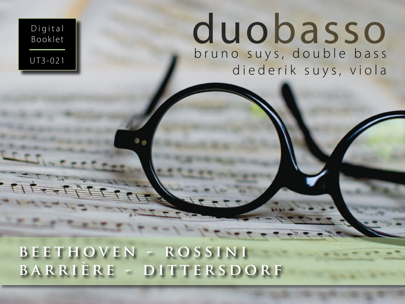## **beethoven - rossini barrière - dittersdorf**

Digital Booklet

# UT3-021 **bruno** suys, double bass diederik suys, viola duobasso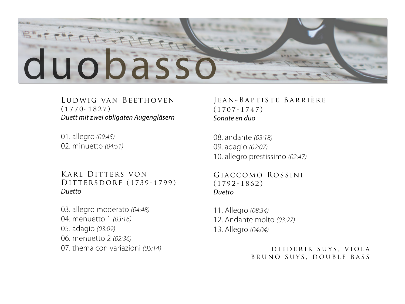

#### Ludwig van Beethoven (1770-1827) *Duett mit zwei obligaten Augengläsern*

01. allegro *(09:45)* 02. minuetto *(04:51)*

Karl Ditters von DITTERSDORF (1739-1799) *Duetto*

03. allegro moderato *(04:48)* 04. menuetto 1 *(03:16)* 05. adagio *(03:09)* 06. menuetto 2 *(02:36)* 07. thema con variazioni *(05:14)*

#### Jean-Baptiste Barrière (1707-1747) *Sonate en duo*

08. andante *(03:18)* 09. adagio *(02:07)* 10. allegro prestissimo *(02:47)*

Giaccomo Rossini (1792-1862) *Duetto*

11. Allegro *(08:34)* 12. Andante molto *(03:27)* 13. Allegro *(04:04)*

> diederik suys, viola BRUNO SUYS, DOUBLE BASS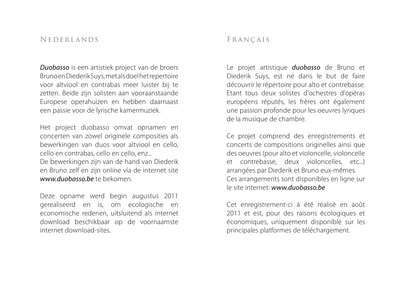#### Nederlands

*Duobasso* is een artistiek project van de broers Bruno en Diederik Suys, met als doel het repertoire voor altviool en contrabas meer luister bij te zetten. Beide zijn solisten aan vooraanstaande Europese operahuizen en hebben daarnaast een passie voor de lyrische kamermuziek.

Het project duobasso omvat opnamen en concerten van zowel originele composities als bewerkingen van duos voor altviool en cello, cello en contrabas, cello en cello, enz...

De bewerkingen zijn van de hand van Diederik en Bruno zelf en zijn online via de internet site *www.duobasso.be* te bekomen.

Deze opname werd begin augustus 2011 gerealiseerd en is, om ecologische en economische redenen, uitsluitend als internet download beschikbaar op de voornaamste internet download-sites.

#### Français

Le projet artistique *duobasso* de Bruno et Diederik Suys, est né dans le but de faire découvrir le répertoire pour alto et contrebasse. Etant tous deux solistes d'ochestres d'opéras européens réputés, les frères ont également une passion profonde pour les oeuvres lyriques de la musique de chambre.

Ce projet comprend des enregistrements et concerts de compositions originelles ainsi que des oeuvres (pour alto et violoncelle, violoncelle et contrebasse, deux violoncelles, etc...) arrangées par Diederik et Bruno eux-mêmes. Ces arrangements sont disponibles en ligne sur le site internet: *www.duobasso.be*

Cet enregistrement-ci à été réalisé en août 2011 et est, pour des raisons écologiques et économiques, uniquement disponible sur les principales platformes de téléchargement.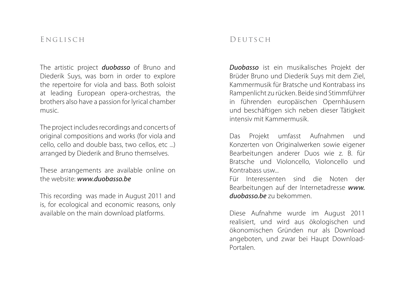#### Englisch

The artistic project *duobasso* of Bruno and Diederik Suys, was born in order to explore the repertoire for viola and bass. Both soloist at leading European opera-orchestras, the brothers also have a passion for lyrical chamber music.

The project includes recordings and concerts of original compositions and works (for viola and cello, cello and double bass, two cellos, etc ...) arranged by Diederik and Bruno themselves.

These arrangements are available online on the website: *www.duobasso.be*

This recording was made in August 2011 and is, for ecological and economic reasons, only available on the main download platforms.

#### DEUTSCH

*Duobasso* ist ein musikalisches Projekt der Brüder Bruno und Diederik Suys mit dem Ziel, Kammermusik für Bratsche und Kontrabass ins Rampenlicht zu rücken. Beide sind Stimmführer in führenden europäischen Opernhäusern und beschäftigen sich neben dieser Tätigkeit intensiv mit Kammermusik.

Das Projekt umfasst Aufnahmen und Konzerten von Originalwerken sowie eigener Bearbeitungen anderer Duos wie z. B. für Bratsche und Violoncello, Violoncello und Kontrabass usw...

Für Interessenten sind die Noten der Bearbeitungen auf der Internetadresse *www. duobasso.be* zu bekommen.

Diese Aufnahme wurde im August 2011 realisiert, und wird aus ökologischen und ökonomischen Gründen nur als Download angeboten, und zwar bei Haupt Download-Portalen.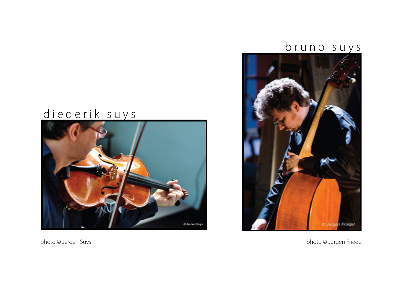### bruno suys



## diederik suys



photo © Jeroen Suys **photo Calculated** Control of the United Calculated Control of the United Calculated Control of the United Calculated Control of the United Calculated Control of the United Calculated Control of the Uni